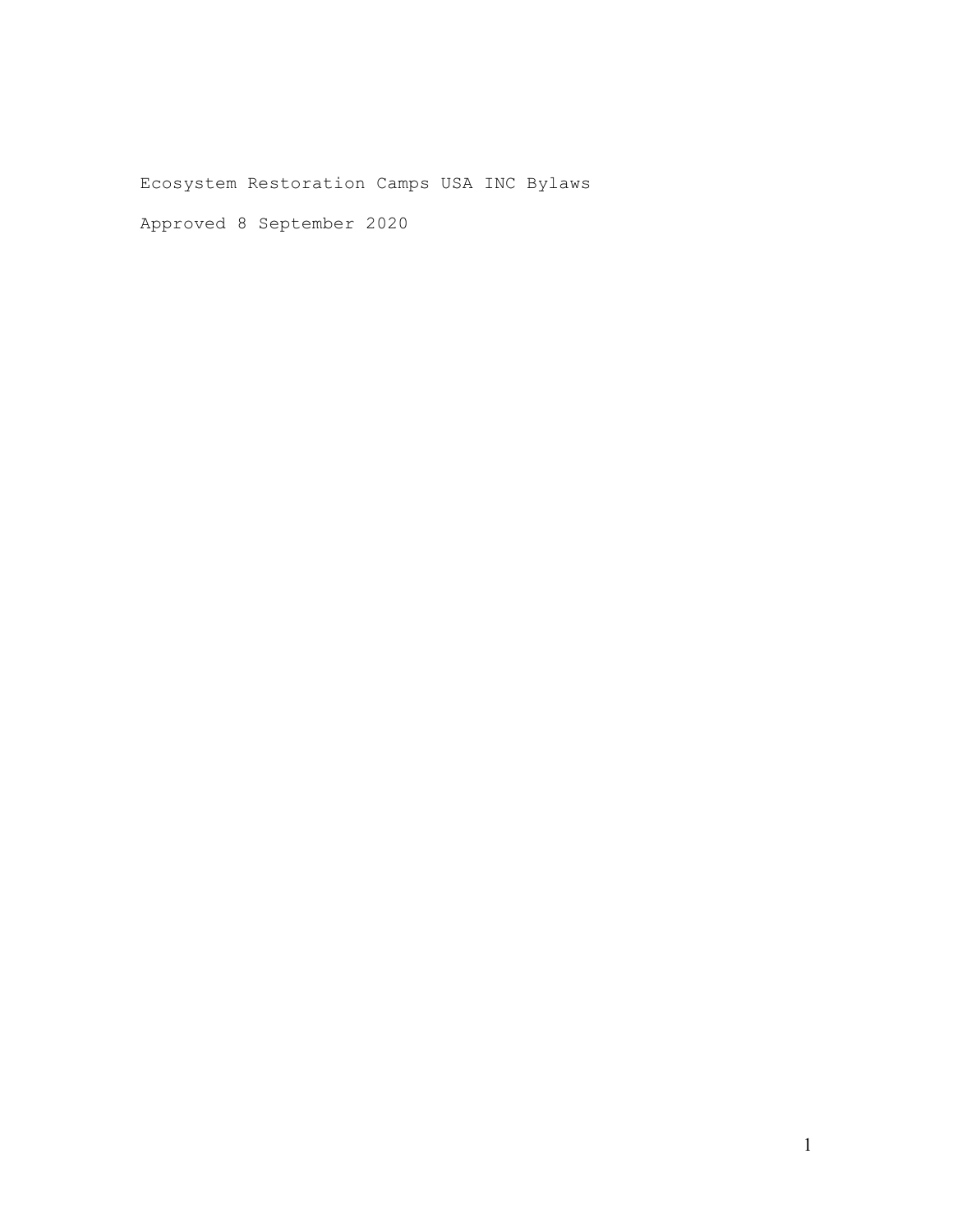Ecosystem Restoration Camps USA INC Bylaws

Approved 8 September 2020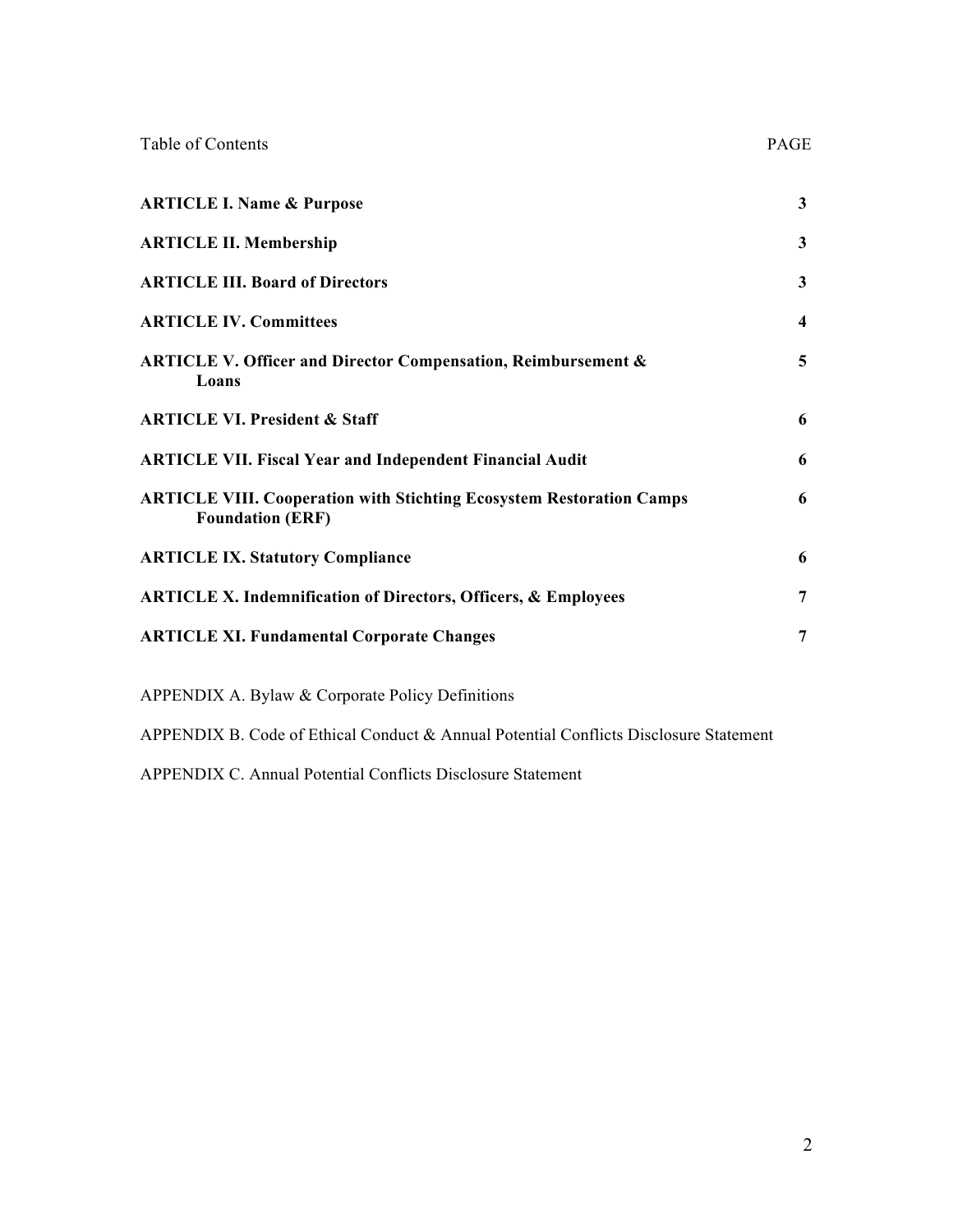| Table of Contents                                                                                      | PAGE         |
|--------------------------------------------------------------------------------------------------------|--------------|
| <b>ARTICLE I. Name &amp; Purpose</b>                                                                   | 3            |
| <b>ARTICLE II. Membership</b>                                                                          | 3            |
| <b>ARTICLE III. Board of Directors</b>                                                                 | $\mathbf{3}$ |
| <b>ARTICLE IV. Committees</b>                                                                          | 4            |
| <b>ARTICLE V. Officer and Director Compensation, Reimbursement &amp;</b><br>Loans                      | 5            |
| <b>ARTICLE VI. President &amp; Staff</b>                                                               | 6            |
| <b>ARTICLE VII. Fiscal Year and Independent Financial Audit</b>                                        | 6            |
| <b>ARTICLE VIII. Cooperation with Stichting Ecosystem Restoration Camps</b><br><b>Foundation (ERF)</b> | 6            |
| <b>ARTICLE IX. Statutory Compliance</b>                                                                | 6            |
| <b>ARTICLE X. Indemnification of Directors, Officers, &amp; Employees</b>                              | 7            |
| <b>ARTICLE XI. Fundamental Corporate Changes</b>                                                       | 7            |
| <b>APPENDIX A. Bylaw &amp; Corporate Policy Definitions</b>                                            |              |

APPENDIX B. Code of Ethical Conduct & Annual Potential Conflicts Disclosure Statement

APPENDIX C. Annual Potential Conflicts Disclosure Statement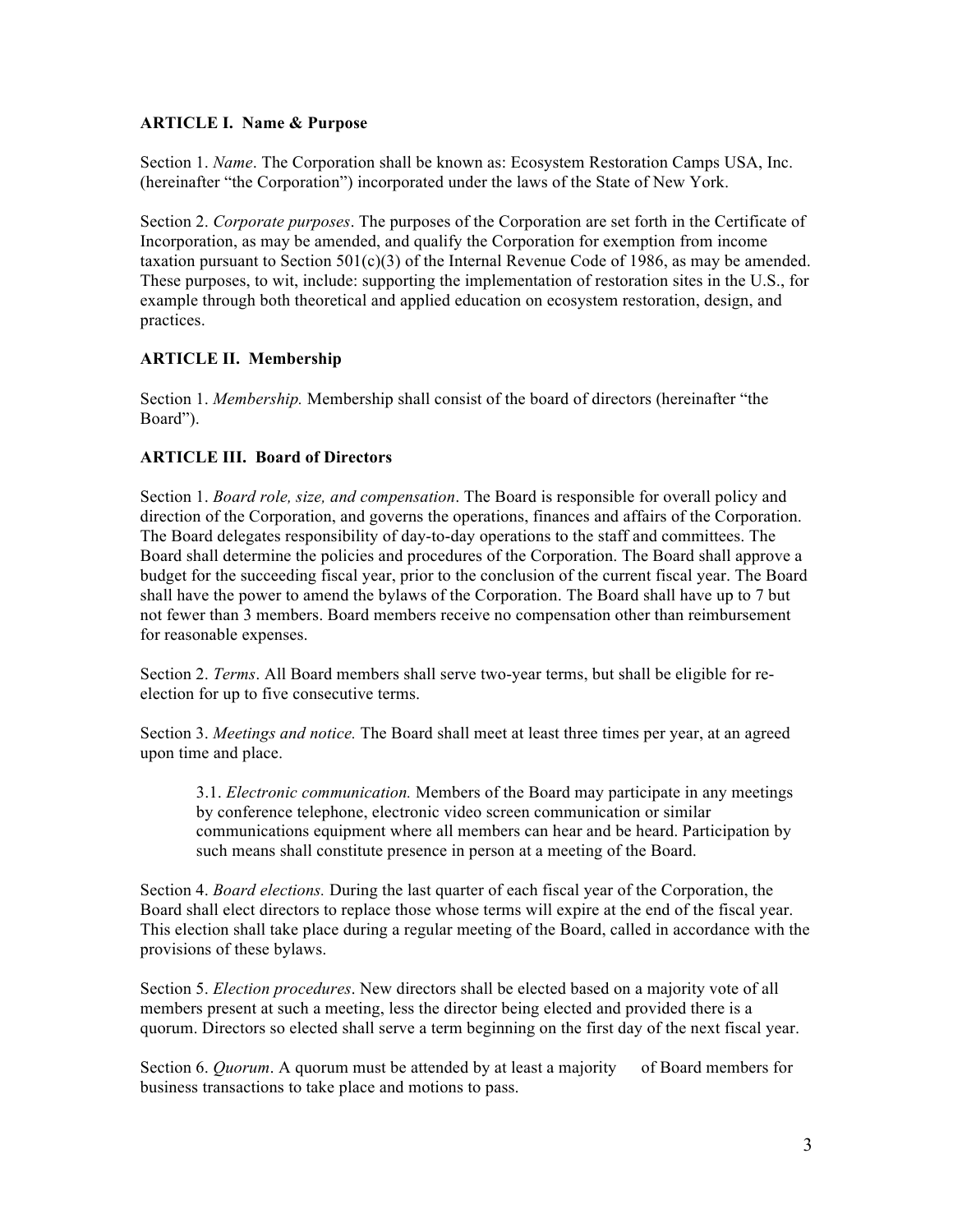### **ARTICLE I. Name & Purpose**

Section 1. *Name*. The Corporation shall be known as: Ecosystem Restoration Camps USA, Inc. (hereinafter "the Corporation") incorporated under the laws of the State of New York.

Section 2. *Corporate purposes*. The purposes of the Corporation are set forth in the Certificate of Incorporation, as may be amended, and qualify the Corporation for exemption from income taxation pursuant to Section  $501(c)(3)$  of the Internal Revenue Code of 1986, as may be amended. These purposes, to wit, include: supporting the implementation of restoration sites in the U.S., for example through both theoretical and applied education on ecosystem restoration, design, and practices.

## **ARTICLE II. Membership**

Section 1. *Membership.* Membership shall consist of the board of directors (hereinafter "the Board").

## **ARTICLE III. Board of Directors**

Section 1. *Board role, size, and compensation*. The Board is responsible for overall policy and direction of the Corporation, and governs the operations, finances and affairs of the Corporation. The Board delegates responsibility of day-to-day operations to the staff and committees. The Board shall determine the policies and procedures of the Corporation. The Board shall approve a budget for the succeeding fiscal year, prior to the conclusion of the current fiscal year. The Board shall have the power to amend the bylaws of the Corporation. The Board shall have up to 7 but not fewer than 3 members. Board members receive no compensation other than reimbursement for reasonable expenses.

Section 2. *Terms*. All Board members shall serve two-year terms, but shall be eligible for reelection for up to five consecutive terms.

Section 3. *Meetings and notice.* The Board shall meet at least three times per year, at an agreed upon time and place.

3.1. *Electronic communication.* Members of the Board may participate in any meetings by conference telephone, electronic video screen communication or similar communications equipment where all members can hear and be heard. Participation by such means shall constitute presence in person at a meeting of the Board.

Section 4. *Board elections.* During the last quarter of each fiscal year of the Corporation, the Board shall elect directors to replace those whose terms will expire at the end of the fiscal year. This election shall take place during a regular meeting of the Board, called in accordance with the provisions of these bylaws.

Section 5. *Election procedures*. New directors shall be elected based on a majority vote of all members present at such a meeting, less the director being elected and provided there is a quorum. Directors so elected shall serve a term beginning on the first day of the next fiscal year.

Section 6. *Quorum*. A quorum must be attended by at least a majority of Board members for business transactions to take place and motions to pass.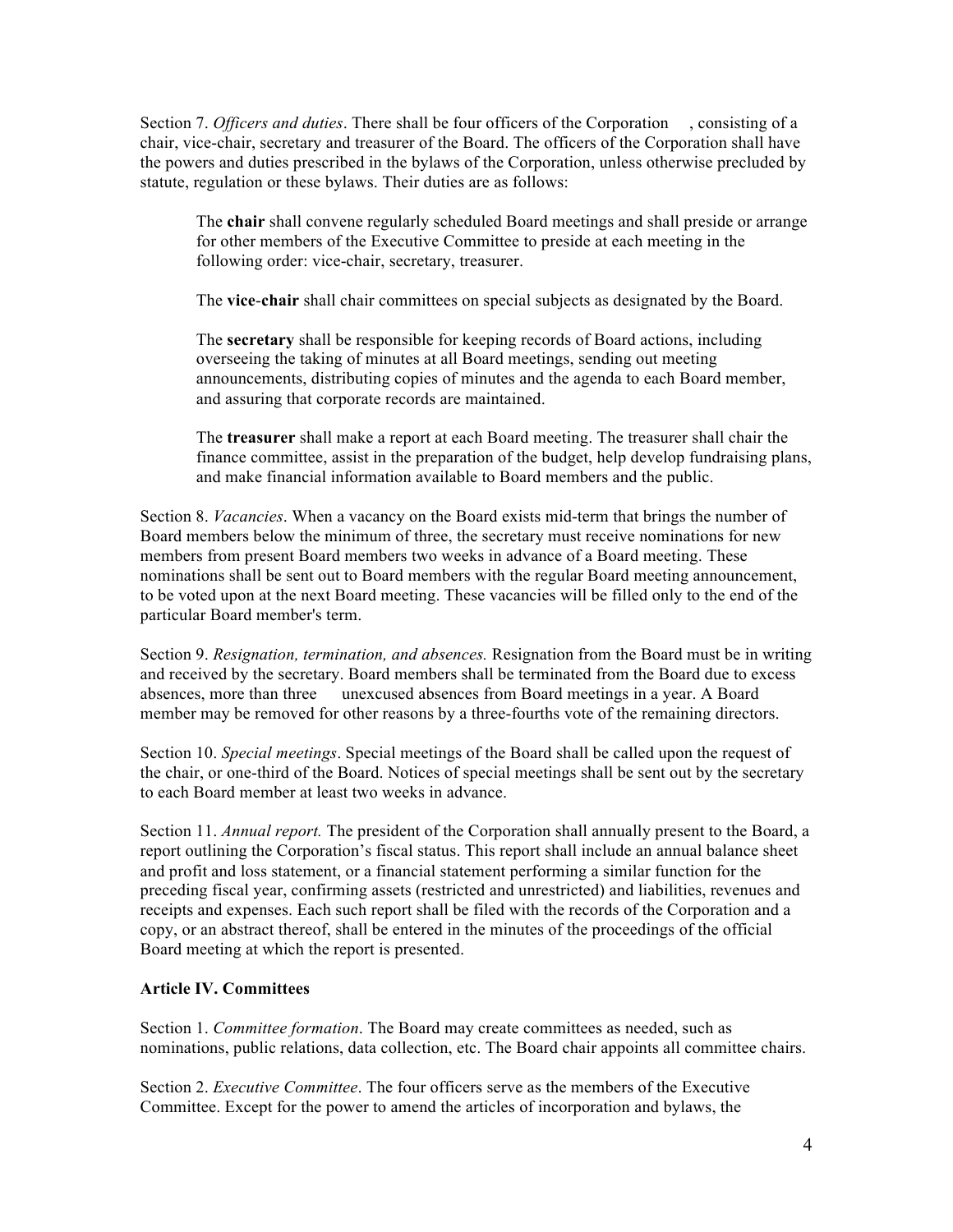Section 7. *Officers and duties*. There shall be four officers of the Corporation consisting of a chair, vice-chair, secretary and treasurer of the Board. The officers of the Corporation shall have the powers and duties prescribed in the bylaws of the Corporation, unless otherwise precluded by statute, regulation or these bylaws. Their duties are as follows:

The **chair** shall convene regularly scheduled Board meetings and shall preside or arrange for other members of the Executive Committee to preside at each meeting in the following order: vice-chair, secretary, treasurer.

The **vice**-**chair** shall chair committees on special subjects as designated by the Board.

The **secretary** shall be responsible for keeping records of Board actions, including overseeing the taking of minutes at all Board meetings, sending out meeting announcements, distributing copies of minutes and the agenda to each Board member, and assuring that corporate records are maintained.

The **treasurer** shall make a report at each Board meeting. The treasurer shall chair the finance committee, assist in the preparation of the budget, help develop fundraising plans, and make financial information available to Board members and the public.

Section 8. *Vacancies*. When a vacancy on the Board exists mid-term that brings the number of Board members below the minimum of three, the secretary must receive nominations for new members from present Board members two weeks in advance of a Board meeting. These nominations shall be sent out to Board members with the regular Board meeting announcement, to be voted upon at the next Board meeting. These vacancies will be filled only to the end of the particular Board member's term.

Section 9. *Resignation, termination, and absences.* Resignation from the Board must be in writing and received by the secretary. Board members shall be terminated from the Board due to excess absences, more than three unexcused absences from Board meetings in a year. A Board member may be removed for other reasons by a three-fourths vote of the remaining directors.

Section 10. *Special meetings*. Special meetings of the Board shall be called upon the request of the chair, or one-third of the Board. Notices of special meetings shall be sent out by the secretary to each Board member at least two weeks in advance.

Section 11. *Annual report.* The president of the Corporation shall annually present to the Board, a report outlining the Corporation's fiscal status. This report shall include an annual balance sheet and profit and loss statement, or a financial statement performing a similar function for the preceding fiscal year, confirming assets (restricted and unrestricted) and liabilities, revenues and receipts and expenses. Each such report shall be filed with the records of the Corporation and a copy, or an abstract thereof, shall be entered in the minutes of the proceedings of the official Board meeting at which the report is presented.

### **Article IV. Committees**

Section 1. *Committee formation*. The Board may create committees as needed, such as nominations, public relations, data collection, etc. The Board chair appoints all committee chairs.

Section 2. *Executive Committee*. The four officers serve as the members of the Executive Committee. Except for the power to amend the articles of incorporation and bylaws, the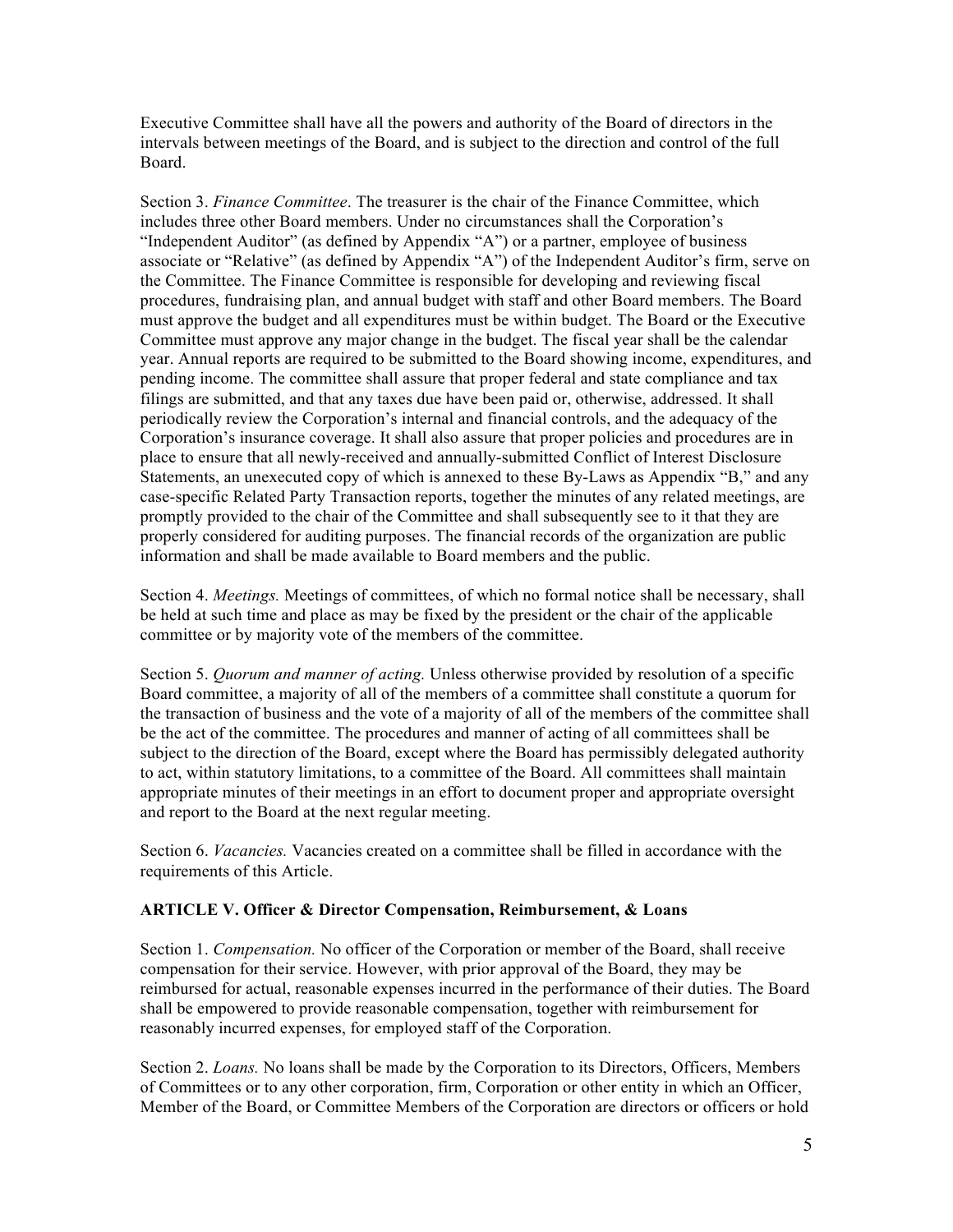Executive Committee shall have all the powers and authority of the Board of directors in the intervals between meetings of the Board, and is subject to the direction and control of the full Board.

Section 3. *Finance Committee*. The treasurer is the chair of the Finance Committee, which includes three other Board members. Under no circumstances shall the Corporation's "Independent Auditor" (as defined by Appendix "A") or a partner, employee of business associate or "Relative" (as defined by Appendix "A") of the Independent Auditor's firm, serve on the Committee. The Finance Committee is responsible for developing and reviewing fiscal procedures, fundraising plan, and annual budget with staff and other Board members. The Board must approve the budget and all expenditures must be within budget. The Board or the Executive Committee must approve any major change in the budget. The fiscal year shall be the calendar year. Annual reports are required to be submitted to the Board showing income, expenditures, and pending income. The committee shall assure that proper federal and state compliance and tax filings are submitted, and that any taxes due have been paid or, otherwise, addressed. It shall periodically review the Corporation's internal and financial controls, and the adequacy of the Corporation's insurance coverage. It shall also assure that proper policies and procedures are in place to ensure that all newly-received and annually-submitted Conflict of Interest Disclosure Statements, an unexecuted copy of which is annexed to these By-Laws as Appendix "B," and any case-specific Related Party Transaction reports, together the minutes of any related meetings, are promptly provided to the chair of the Committee and shall subsequently see to it that they are properly considered for auditing purposes. The financial records of the organization are public information and shall be made available to Board members and the public.

Section 4. *Meetings.* Meetings of committees, of which no formal notice shall be necessary, shall be held at such time and place as may be fixed by the president or the chair of the applicable committee or by majority vote of the members of the committee.

Section 5. *Quorum and manner of acting.* Unless otherwise provided by resolution of a specific Board committee, a majority of all of the members of a committee shall constitute a quorum for the transaction of business and the vote of a majority of all of the members of the committee shall be the act of the committee. The procedures and manner of acting of all committees shall be subject to the direction of the Board, except where the Board has permissibly delegated authority to act, within statutory limitations, to a committee of the Board. All committees shall maintain appropriate minutes of their meetings in an effort to document proper and appropriate oversight and report to the Board at the next regular meeting.

Section 6. *Vacancies.* Vacancies created on a committee shall be filled in accordance with the requirements of this Article.

## **ARTICLE V. Officer & Director Compensation, Reimbursement, & Loans**

Section 1. *Compensation.* No officer of the Corporation or member of the Board, shall receive compensation for their service. However, with prior approval of the Board, they may be reimbursed for actual, reasonable expenses incurred in the performance of their duties. The Board shall be empowered to provide reasonable compensation, together with reimbursement for reasonably incurred expenses, for employed staff of the Corporation.

Section 2. *Loans.* No loans shall be made by the Corporation to its Directors, Officers, Members of Committees or to any other corporation, firm, Corporation or other entity in which an Officer, Member of the Board, or Committee Members of the Corporation are directors or officers or hold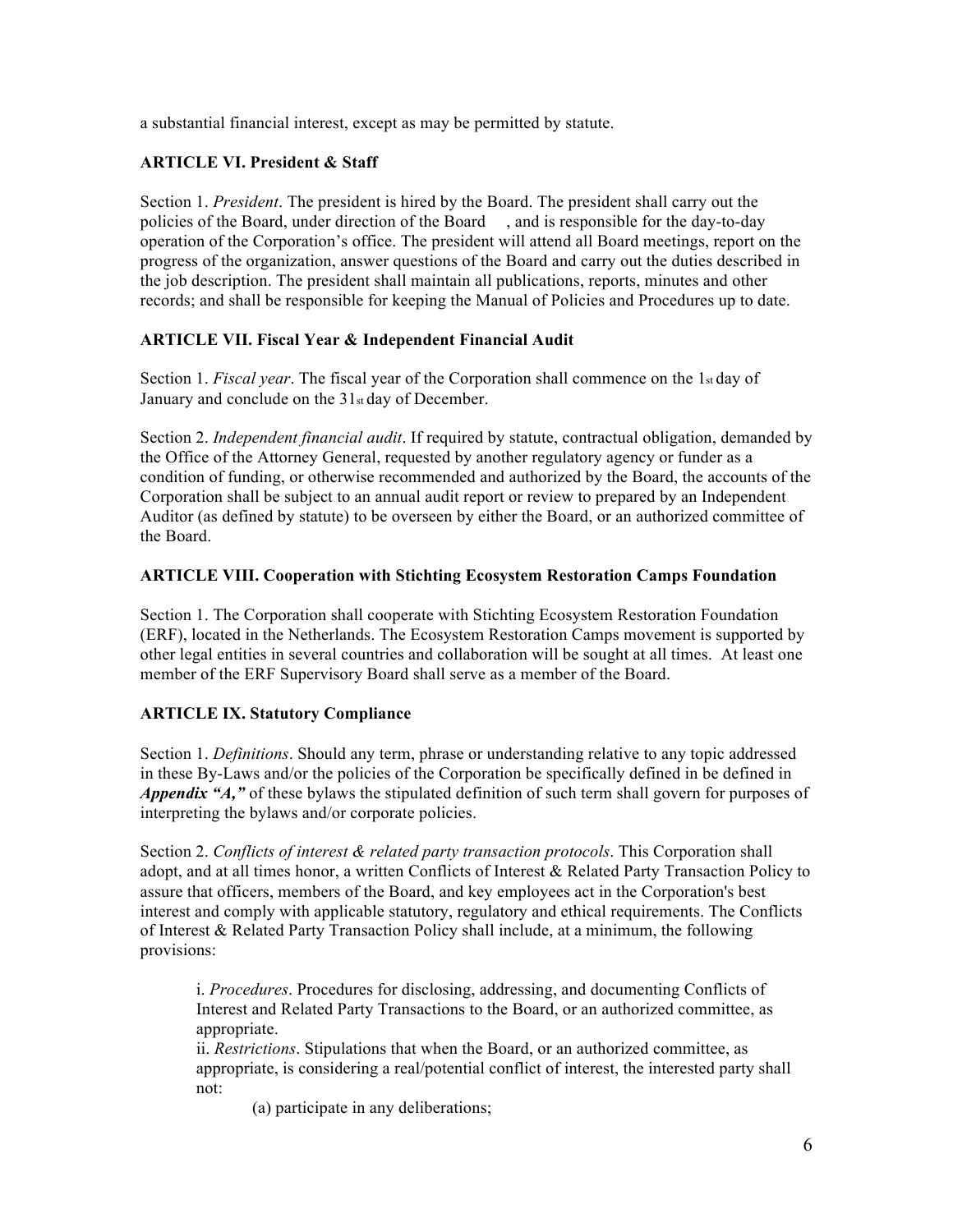a substantial financial interest, except as may be permitted by statute.

## **ARTICLE VI. President & Staff**

Section 1. *President*. The president is hired by the Board. The president shall carry out the policies of the Board, under direction of the Board , and is responsible for the day-to-day operation of the Corporation's office. The president will attend all Board meetings, report on the progress of the organization, answer questions of the Board and carry out the duties described in the job description. The president shall maintain all publications, reports, minutes and other records; and shall be responsible for keeping the Manual of Policies and Procedures up to date. 

### **ARTICLE VII. Fiscal Year & Independent Financial Audit**

Section 1. *Fiscal year*. The fiscal year of the Corporation shall commence on the 1<sub>st</sub> day of January and conclude on the 31st day of December.

Section 2. *Independent financial audit*. If required by statute, contractual obligation, demanded by the Office of the Attorney General, requested by another regulatory agency or funder as a condition of funding, or otherwise recommended and authorized by the Board, the accounts of the Corporation shall be subject to an annual audit report or review to prepared by an Independent Auditor (as defined by statute) to be overseen by either the Board, or an authorized committee of the Board.

### **ARTICLE VIII. Cooperation with Stichting Ecosystem Restoration Camps Foundation**

Section 1. The Corporation shall cooperate with Stichting Ecosystem Restoration Foundation (ERF), located in the Netherlands. The Ecosystem Restoration Camps movement is supported by other legal entities in several countries and collaboration will be sought at all times. At least one member of the ERF Supervisory Board shall serve as a member of the Board.

# **ARTICLE IX. Statutory Compliance**

Section 1. *Definitions*. Should any term, phrase or understanding relative to any topic addressed in these By-Laws and/or the policies of the Corporation be specifically defined in be defined in *Appendix "A,"* of these bylaws the stipulated definition of such term shall govern for purposes of interpreting the bylaws and/or corporate policies.

Section 2. *Conflicts of interest & related party transaction protocols*. This Corporation shall adopt, and at all times honor, a written Conflicts of Interest & Related Party Transaction Policy to assure that officers, members of the Board, and key employees act in the Corporation's best interest and comply with applicable statutory, regulatory and ethical requirements. The Conflicts of Interest & Related Party Transaction Policy shall include, at a minimum, the following provisions:

i. *Procedures*. Procedures for disclosing, addressing, and documenting Conflicts of Interest and Related Party Transactions to the Board, or an authorized committee, as appropriate.

ii. *Restrictions*. Stipulations that when the Board, or an authorized committee, as appropriate, is considering a real/potential conflict of interest, the interested party shall not:

(a) participate in any deliberations;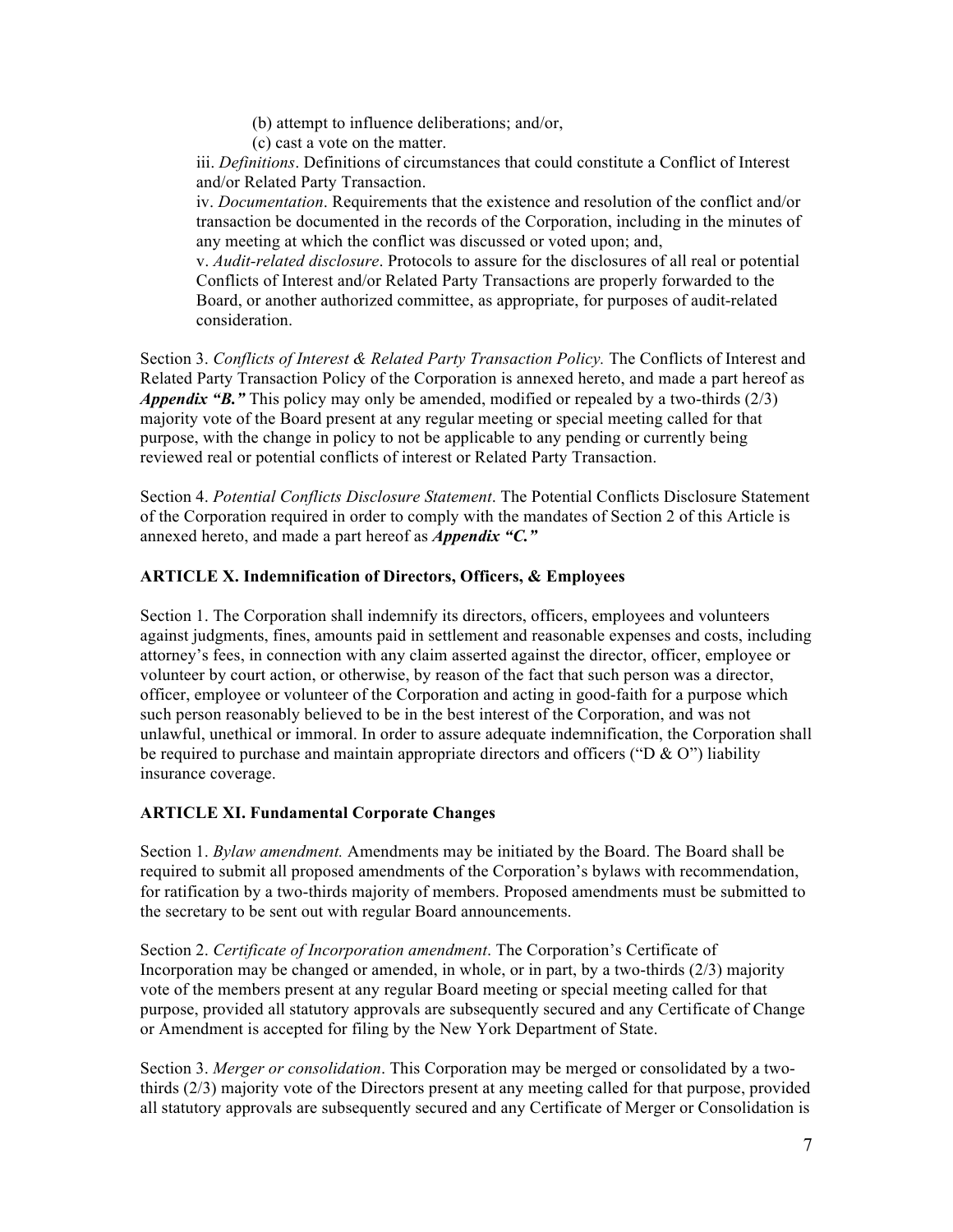(b) attempt to influence deliberations; and/or,

(c) cast a vote on the matter.

iii. *Definitions*. Definitions of circumstances that could constitute a Conflict of Interest and/or Related Party Transaction.

iv. *Documentation*. Requirements that the existence and resolution of the conflict and/or transaction be documented in the records of the Corporation, including in the minutes of any meeting at which the conflict was discussed or voted upon; and,

v. *Audit-related disclosure*. Protocols to assure for the disclosures of all real or potential Conflicts of Interest and/or Related Party Transactions are properly forwarded to the Board, or another authorized committee, as appropriate, for purposes of audit-related consideration.

Section 3. *Conflicts of Interest & Related Party Transaction Policy*. The Conflicts of Interest and Related Party Transaction Policy of the Corporation is annexed hereto, and made a part hereof as *Appendix "B."* This policy may only be amended, modified or repealed by a two-thirds (2/3) majority vote of the Board present at any regular meeting or special meeting called for that purpose, with the change in policy to not be applicable to any pending or currently being reviewed real or potential conflicts of interest or Related Party Transaction.

Section 4. *Potential Conflicts Disclosure Statement*. The Potential Conflicts Disclosure Statement of the Corporation required in order to comply with the mandates of Section 2 of this Article is annexed hereto, and made a part hereof as *Appendix "C."* 

## **ARTICLE X. Indemnification of Directors, Officers, & Employees**

Section 1. The Corporation shall indemnify its directors, officers, employees and volunteers against judgments, fines, amounts paid in settlement and reasonable expenses and costs, including attorney's fees, in connection with any claim asserted against the director, officer, employee or volunteer by court action, or otherwise, by reason of the fact that such person was a director, officer, employee or volunteer of the Corporation and acting in good-faith for a purpose which such person reasonably believed to be in the best interest of the Corporation, and was not unlawful, unethical or immoral. In order to assure adequate indemnification, the Corporation shall be required to purchase and maintain appropriate directors and officers ("D & O") liability insurance coverage.

### **ARTICLE XI. Fundamental Corporate Changes**

Section 1. *Bylaw amendment.* Amendments may be initiated by the Board. The Board shall be required to submit all proposed amendments of the Corporation's bylaws with recommendation, for ratification by a two-thirds majority of members. Proposed amendments must be submitted to the secretary to be sent out with regular Board announcements.

Section 2. *Certificate of Incorporation amendment*. The Corporation's Certificate of Incorporation may be changed or amended, in whole, or in part, by a two-thirds  $(2/3)$  majority vote of the members present at any regular Board meeting or special meeting called for that purpose, provided all statutory approvals are subsequently secured and any Certificate of Change or Amendment is accepted for filing by the New York Department of State.

Section 3. *Merger or consolidation*. This Corporation may be merged or consolidated by a twothirds (2/3) majority vote of the Directors present at any meeting called for that purpose, provided all statutory approvals are subsequently secured and any Certificate of Merger or Consolidation is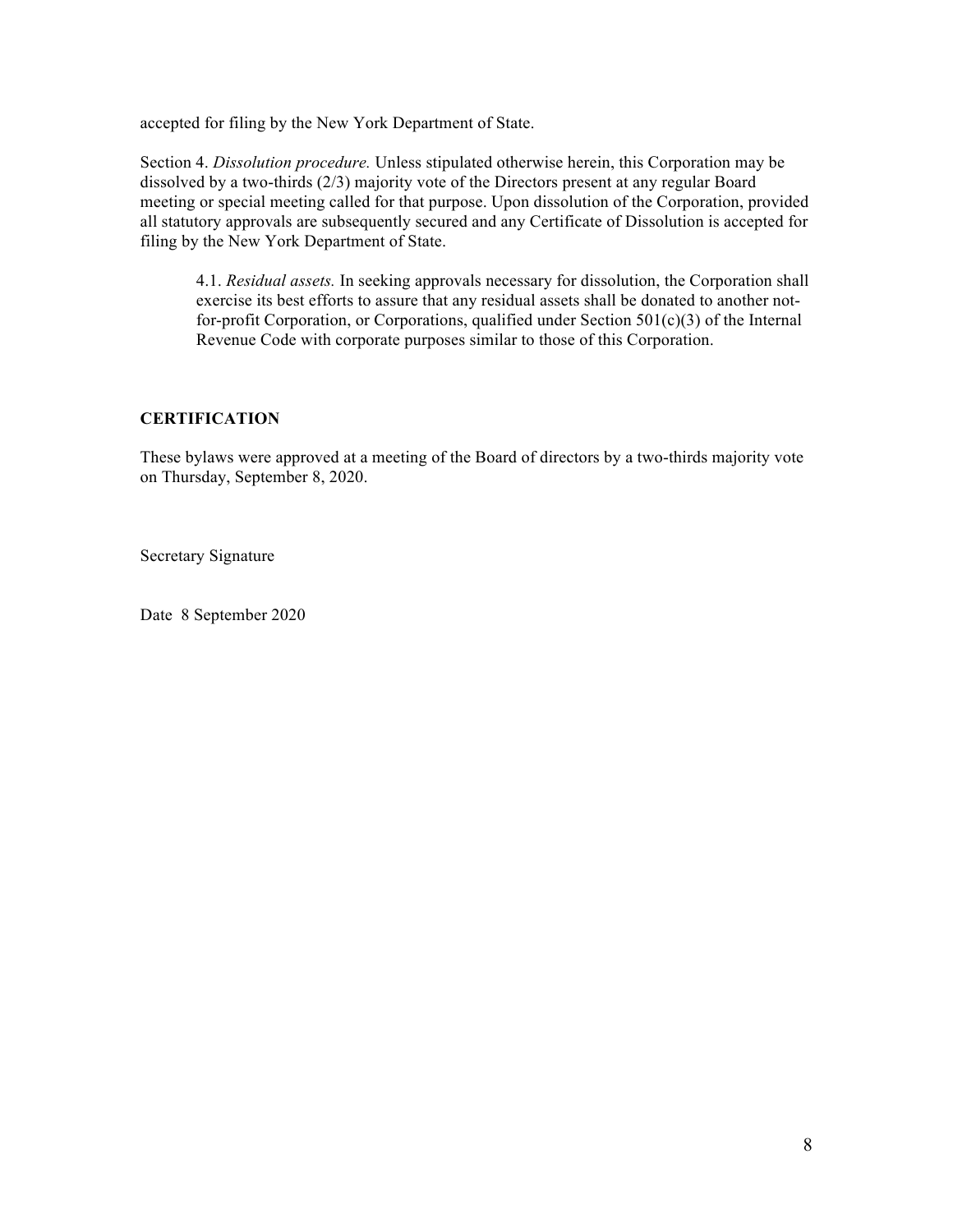accepted for filing by the New York Department of State.

Section 4. *Dissolution procedure.* Unless stipulated otherwise herein, this Corporation may be dissolved by a two-thirds (2/3) majority vote of the Directors present at any regular Board meeting or special meeting called for that purpose. Upon dissolution of the Corporation, provided all statutory approvals are subsequently secured and any Certificate of Dissolution is accepted for filing by the New York Department of State.

4.1. *Residual assets.* In seeking approvals necessary for dissolution, the Corporation shall exercise its best efforts to assure that any residual assets shall be donated to another notfor-profit Corporation, or Corporations, qualified under Section 501(c)(3) of the Internal Revenue Code with corporate purposes similar to those of this Corporation.

## **CERTIFICATION**

These bylaws were approved at a meeting of the Board of directors by a two-thirds majority vote on Thursday, September 8, 2020.

Secretary Signature

Date 8 September 2020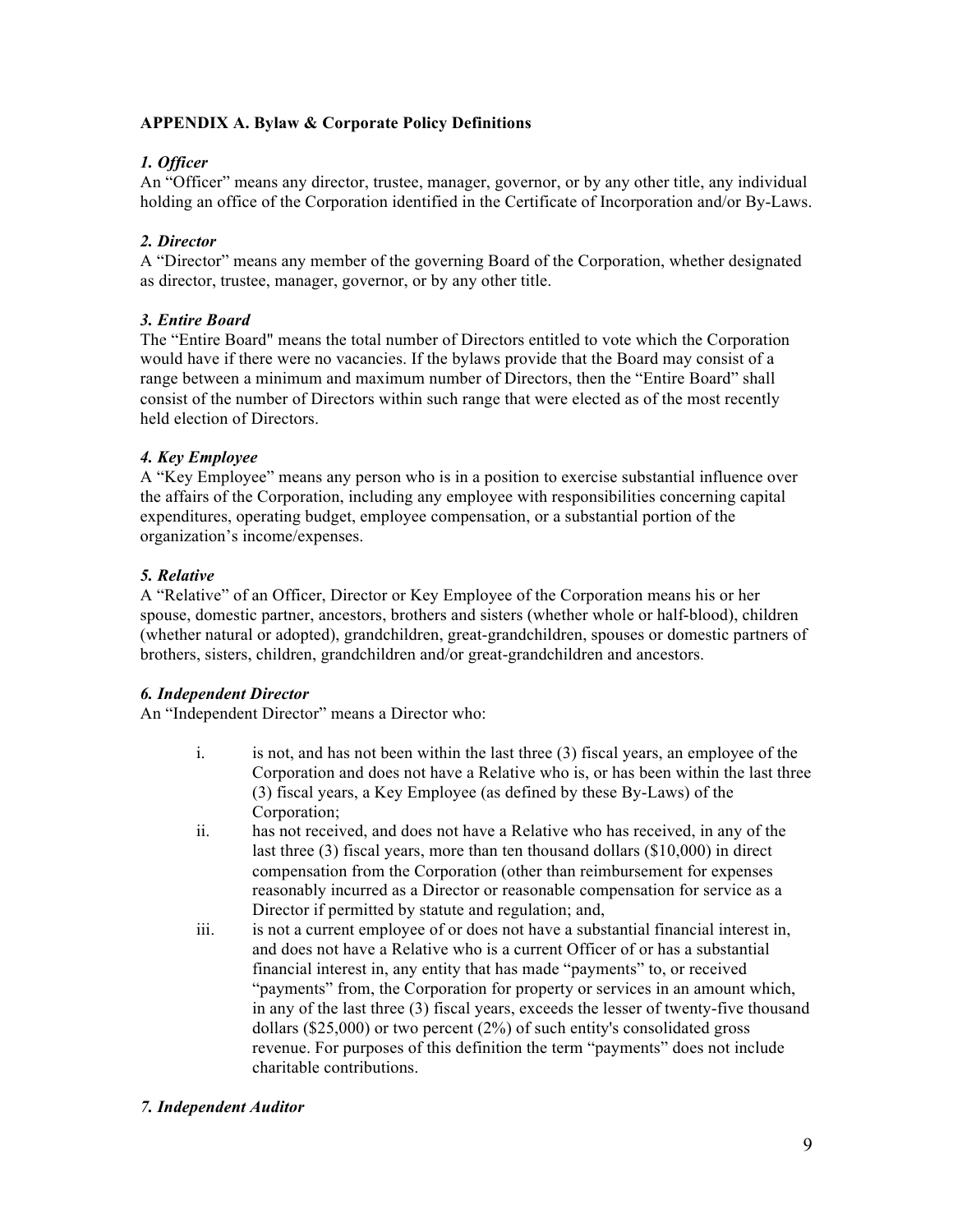## **APPENDIX A. Bylaw & Corporate Policy Definitions**

## *1. Officer*

An "Officer" means any director, trustee, manager, governor, or by any other title, any individual holding an office of the Corporation identified in the Certificate of Incorporation and/or By-Laws.

## *2. Director*

A "Director" means any member of the governing Board of the Corporation, whether designated as director, trustee, manager, governor, or by any other title.

## *3. Entire Board*

The "Entire Board" means the total number of Directors entitled to vote which the Corporation would have if there were no vacancies. If the bylaws provide that the Board may consist of a range between a minimum and maximum number of Directors, then the "Entire Board" shall consist of the number of Directors within such range that were elected as of the most recently held election of Directors.

## *4. Key Employee*

A "Key Employee" means any person who is in a position to exercise substantial influence over the affairs of the Corporation, including any employee with responsibilities concerning capital expenditures, operating budget, employee compensation, or a substantial portion of the organization's income/expenses.

## *5. Relative*

A "Relative" of an Officer, Director or Key Employee of the Corporation means his or her spouse, domestic partner, ancestors, brothers and sisters (whether whole or half-blood), children (whether natural or adopted), grandchildren, great-grandchildren, spouses or domestic partners of brothers, sisters, children, grandchildren and/or great-grandchildren and ancestors.

### *6. Independent Director*

An "Independent Director" means a Director who:

- i. is not, and has not been within the last three (3) fiscal years, an employee of the Corporation and does not have a Relative who is, or has been within the last three (3) fiscal years, a Key Employee (as defined by these By-Laws) of the Corporation;
- ii. has not received, and does not have a Relative who has received, in any of the last three (3) fiscal years, more than ten thousand dollars (\$10,000) in direct compensation from the Corporation (other than reimbursement for expenses reasonably incurred as a Director or reasonable compensation for service as a Director if permitted by statute and regulation; and,
- iii. is not a current employee of or does not have a substantial financial interest in, and does not have a Relative who is a current Officer of or has a substantial financial interest in, any entity that has made "payments" to, or received "payments" from, the Corporation for property or services in an amount which, in any of the last three (3) fiscal years, exceeds the lesser of twenty-five thousand dollars (\$25,000) or two percent (2%) of such entity's consolidated gross revenue. For purposes of this definition the term "payments" does not include charitable contributions.

### *7. Independent Auditor*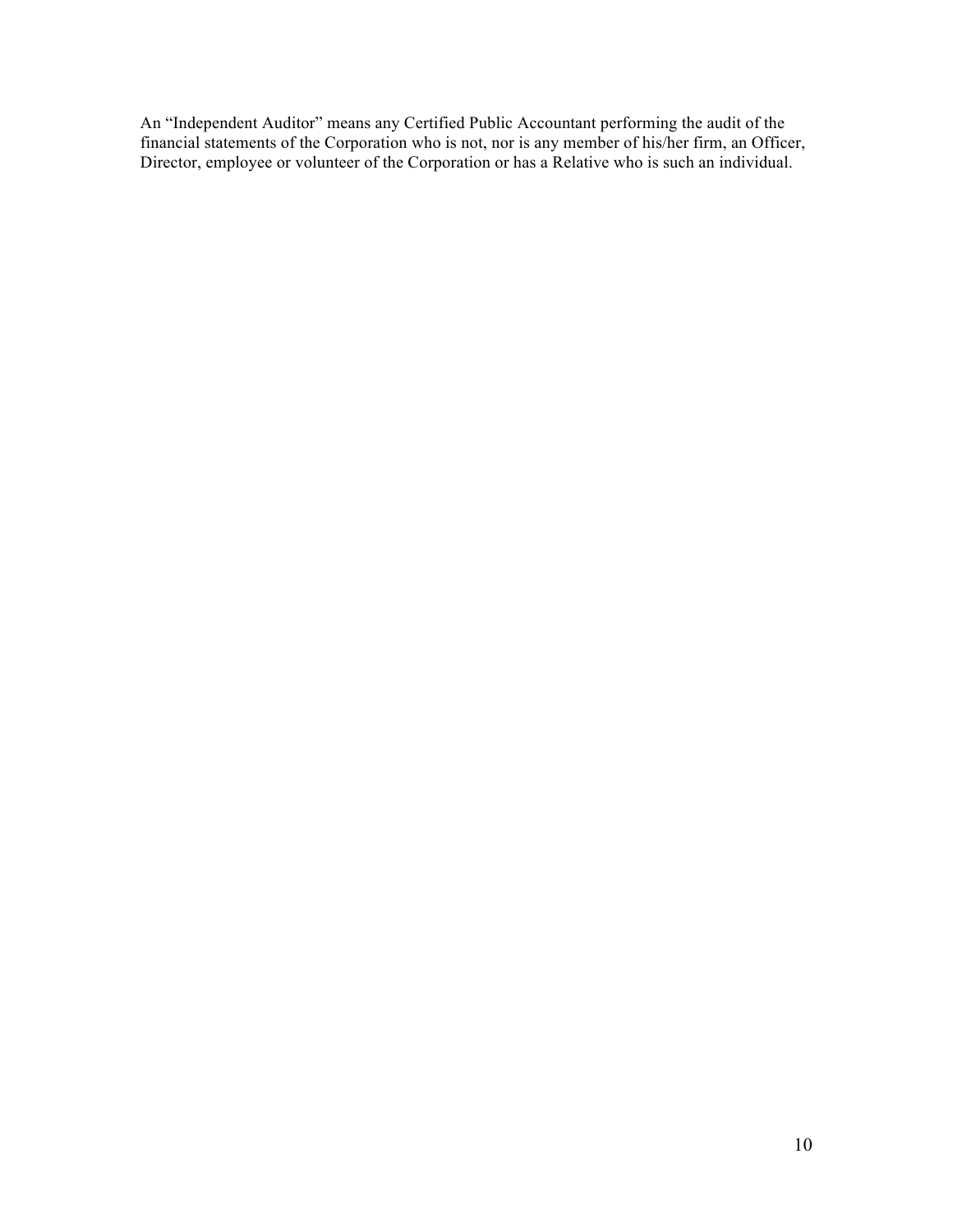An "Independent Auditor" means any Certified Public Accountant performing the audit of the financial statements of the Corporation who is not, nor is any member of his/her firm, an Officer, Director, employee or volunteer of the Corporation or has a Relative who is such an individual.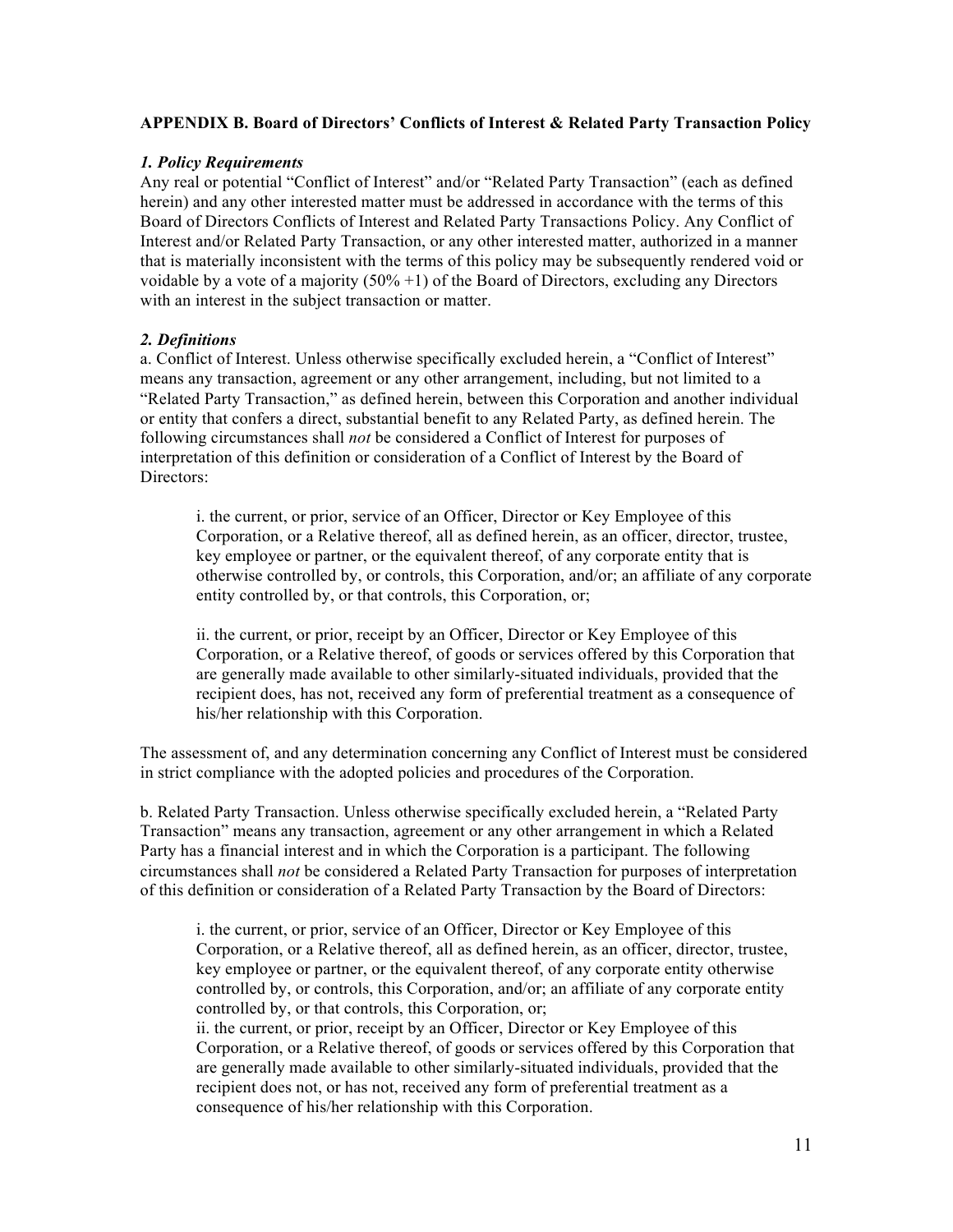### **APPENDIX B. Board of Directors' Conflicts of Interest & Related Party Transaction Policy**

## *1. Policy Requirements*

Any real or potential "Conflict of Interest" and/or "Related Party Transaction" (each as defined herein) and any other interested matter must be addressed in accordance with the terms of this Board of Directors Conflicts of Interest and Related Party Transactions Policy. Any Conflict of Interest and/or Related Party Transaction, or any other interested matter, authorized in a manner that is materially inconsistent with the terms of this policy may be subsequently rendered void or voidable by a vote of a majority  $(50\% + 1)$  of the Board of Directors, excluding any Directors with an interest in the subject transaction or matter.

## *2. Definitions*

a. Conflict of Interest. Unless otherwise specifically excluded herein, a "Conflict of Interest" means any transaction, agreement or any other arrangement, including, but not limited to a "Related Party Transaction," as defined herein, between this Corporation and another individual or entity that confers a direct, substantial benefit to any Related Party, as defined herein. The following circumstances shall *not* be considered a Conflict of Interest for purposes of interpretation of this definition or consideration of a Conflict of Interest by the Board of Directors:

i. the current, or prior, service of an Officer, Director or Key Employee of this Corporation, or a Relative thereof, all as defined herein, as an officer, director, trustee, key employee or partner, or the equivalent thereof, of any corporate entity that is otherwise controlled by, or controls, this Corporation, and/or; an affiliate of any corporate entity controlled by, or that controls, this Corporation, or;

ii. the current, or prior, receipt by an Officer, Director or Key Employee of this Corporation, or a Relative thereof, of goods or services offered by this Corporation that are generally made available to other similarly-situated individuals, provided that the recipient does, has not, received any form of preferential treatment as a consequence of his/her relationship with this Corporation.

The assessment of, and any determination concerning any Conflict of Interest must be considered in strict compliance with the adopted policies and procedures of the Corporation.

b. Related Party Transaction. Unless otherwise specifically excluded herein, a "Related Party Transaction" means any transaction, agreement or any other arrangement in which a Related Party has a financial interest and in which the Corporation is a participant. The following circumstances shall *not* be considered a Related Party Transaction for purposes of interpretation of this definition or consideration of a Related Party Transaction by the Board of Directors:

i. the current, or prior, service of an Officer, Director or Key Employee of this Corporation, or a Relative thereof, all as defined herein, as an officer, director, trustee, key employee or partner, or the equivalent thereof, of any corporate entity otherwise controlled by, or controls, this Corporation, and/or; an affiliate of any corporate entity controlled by, or that controls, this Corporation, or;

ii. the current, or prior, receipt by an Officer, Director or Key Employee of this Corporation, or a Relative thereof, of goods or services offered by this Corporation that are generally made available to other similarly-situated individuals, provided that the recipient does not, or has not, received any form of preferential treatment as a consequence of his/her relationship with this Corporation.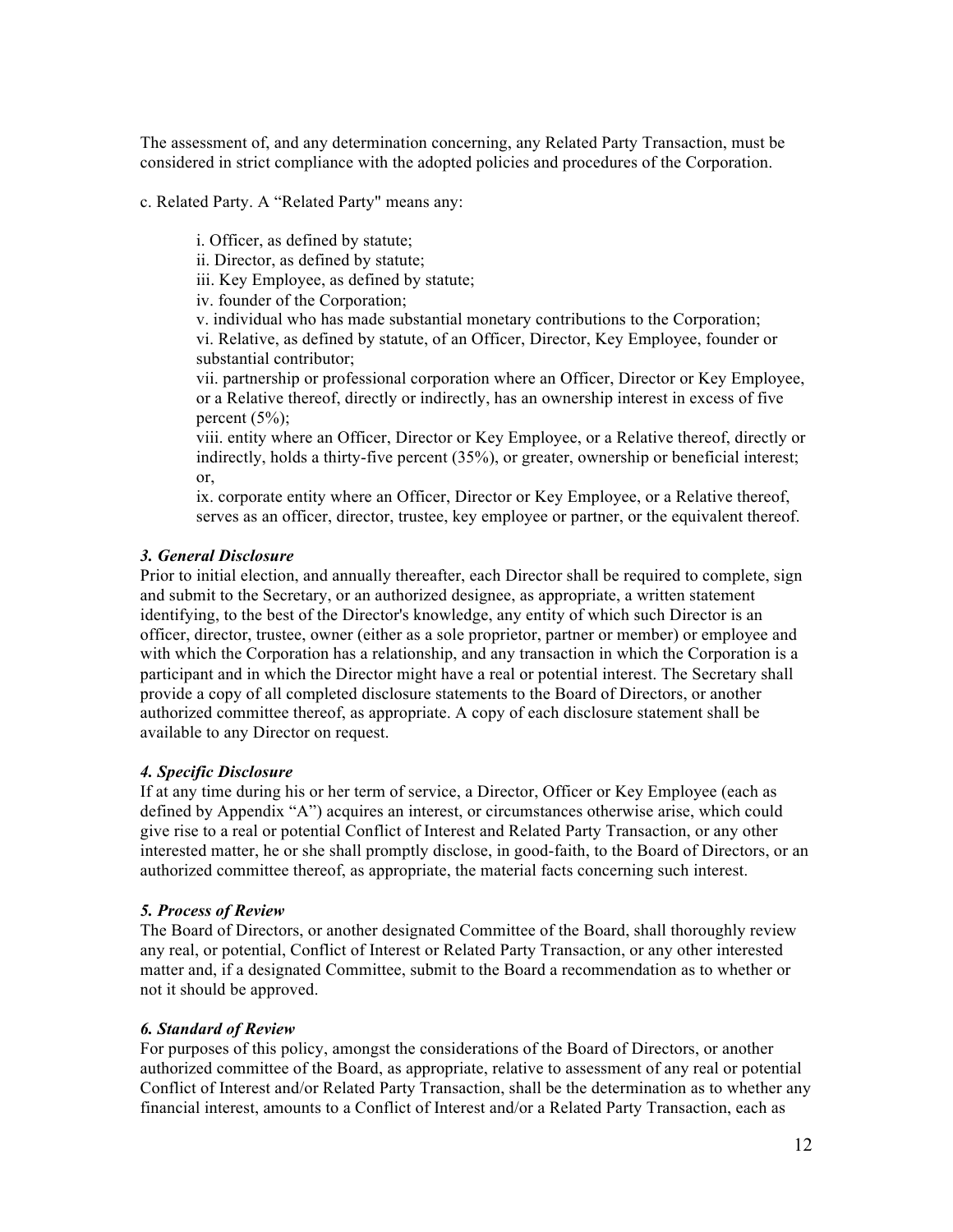The assessment of, and any determination concerning, any Related Party Transaction, must be considered in strict compliance with the adopted policies and procedures of the Corporation.

c. Related Party. A "Related Party" means any:

i. Officer, as defined by statute;

ii. Director, as defined by statute;

iii. Key Employee, as defined by statute;

iv. founder of the Corporation;

v. individual who has made substantial monetary contributions to the Corporation; vi. Relative, as defined by statute, of an Officer, Director, Key Employee, founder or substantial contributor;

vii. partnership or professional corporation where an Officer, Director or Key Employee, or a Relative thereof, directly or indirectly, has an ownership interest in excess of five percent  $(5%)$ ;

viii. entity where an Officer, Director or Key Employee, or a Relative thereof, directly or indirectly, holds a thirty-five percent (35%), or greater, ownership or beneficial interest; or,

ix. corporate entity where an Officer, Director or Key Employee, or a Relative thereof, serves as an officer, director, trustee, key employee or partner, or the equivalent thereof.

### *3. General Disclosure*

Prior to initial election, and annually thereafter, each Director shall be required to complete, sign and submit to the Secretary, or an authorized designee, as appropriate, a written statement identifying, to the best of the Director's knowledge, any entity of which such Director is an officer, director, trustee, owner (either as a sole proprietor, partner or member) or employee and with which the Corporation has a relationship, and any transaction in which the Corporation is a participant and in which the Director might have a real or potential interest. The Secretary shall provide a copy of all completed disclosure statements to the Board of Directors, or another authorized committee thereof, as appropriate. A copy of each disclosure statement shall be available to any Director on request.

#### *4. Specific Disclosure*

If at any time during his or her term of service, a Director, Officer or Key Employee (each as defined by Appendix "A") acquires an interest, or circumstances otherwise arise, which could give rise to a real or potential Conflict of Interest and Related Party Transaction, or any other interested matter, he or she shall promptly disclose, in good-faith, to the Board of Directors, or an authorized committee thereof, as appropriate, the material facts concerning such interest.

#### *5. Process of Review*

The Board of Directors, or another designated Committee of the Board, shall thoroughly review any real, or potential, Conflict of Interest or Related Party Transaction, or any other interested matter and, if a designated Committee, submit to the Board a recommendation as to whether or not it should be approved.

#### *6. Standard of Review*

For purposes of this policy, amongst the considerations of the Board of Directors, or another authorized committee of the Board, as appropriate, relative to assessment of any real or potential Conflict of Interest and/or Related Party Transaction, shall be the determination as to whether any financial interest, amounts to a Conflict of Interest and/or a Related Party Transaction, each as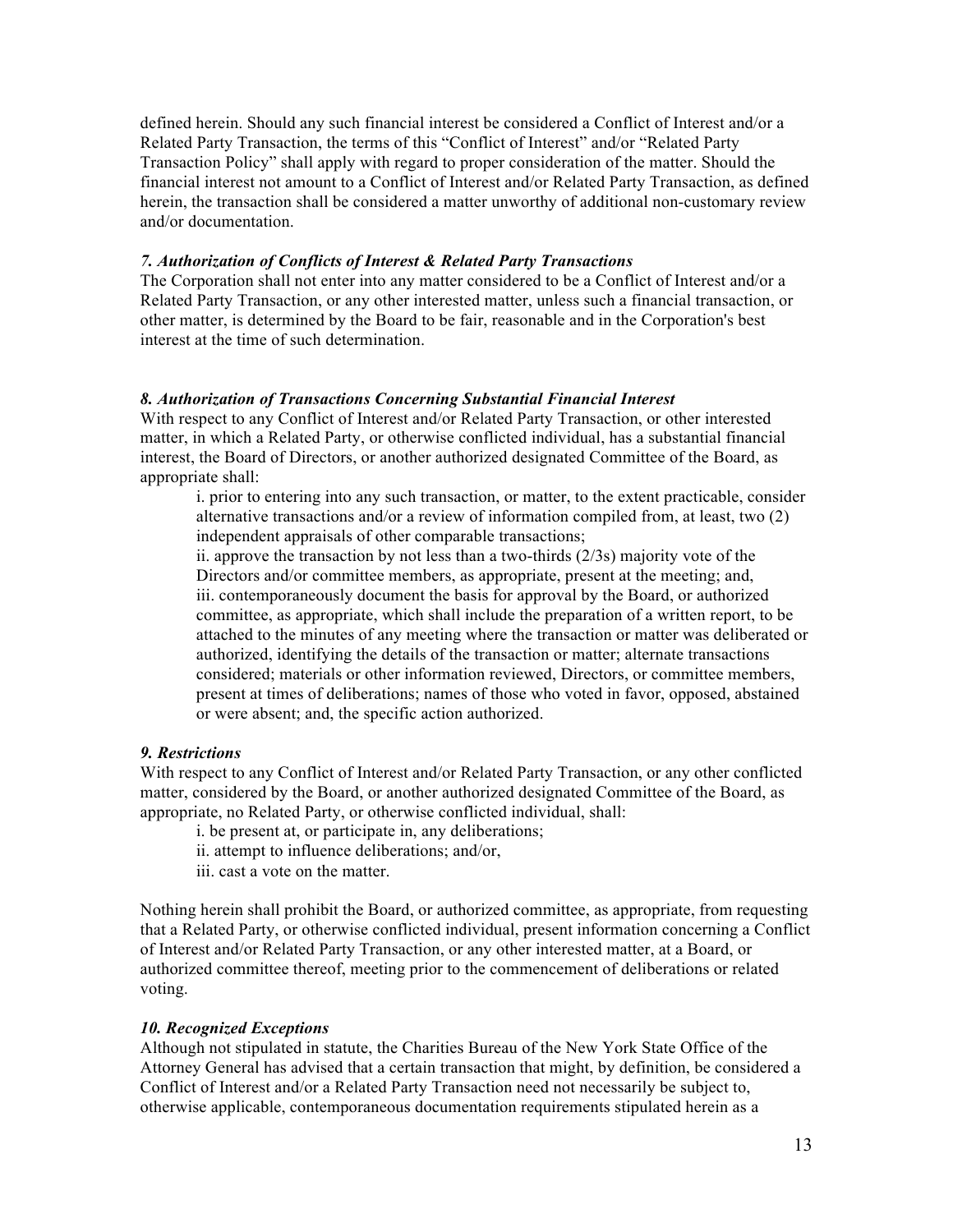defined herein. Should any such financial interest be considered a Conflict of Interest and/or a Related Party Transaction, the terms of this "Conflict of Interest" and/or "Related Party Transaction Policy" shall apply with regard to proper consideration of the matter. Should the financial interest not amount to a Conflict of Interest and/or Related Party Transaction, as defined herein, the transaction shall be considered a matter unworthy of additional non-customary review and/or documentation.

#### *7. Authorization of Conflicts of Interest & Related Party Transactions*

The Corporation shall not enter into any matter considered to be a Conflict of Interest and/or a Related Party Transaction, or any other interested matter, unless such a financial transaction, or other matter, is determined by the Board to be fair, reasonable and in the Corporation's best interest at the time of such determination.

#### *8. Authorization of Transactions Concerning Substantial Financial Interest*

With respect to any Conflict of Interest and/or Related Party Transaction, or other interested matter, in which a Related Party, or otherwise conflicted individual, has a substantial financial interest, the Board of Directors, or another authorized designated Committee of the Board, as appropriate shall:

i. prior to entering into any such transaction, or matter, to the extent practicable, consider alternative transactions and/or a review of information compiled from, at least, two (2) independent appraisals of other comparable transactions;

ii. approve the transaction by not less than a two-thirds (2/3s) majority vote of the Directors and/or committee members, as appropriate, present at the meeting; and, iii. contemporaneously document the basis for approval by the Board, or authorized committee, as appropriate, which shall include the preparation of a written report, to be attached to the minutes of any meeting where the transaction or matter was deliberated or authorized, identifying the details of the transaction or matter; alternate transactions considered; materials or other information reviewed, Directors, or committee members, present at times of deliberations; names of those who voted in favor, opposed, abstained or were absent; and, the specific action authorized.

#### *9. Restrictions*

With respect to any Conflict of Interest and/or Related Party Transaction, or any other conflicted matter, considered by the Board, or another authorized designated Committee of the Board, as appropriate, no Related Party, or otherwise conflicted individual, shall:

- i. be present at, or participate in, any deliberations;
- ii. attempt to influence deliberations; and/or,
- iii. cast a vote on the matter.

Nothing herein shall prohibit the Board, or authorized committee, as appropriate, from requesting that a Related Party, or otherwise conflicted individual, present information concerning a Conflict of Interest and/or Related Party Transaction, or any other interested matter, at a Board, or authorized committee thereof, meeting prior to the commencement of deliberations or related voting.

#### *10. Recognized Exceptions*

Although not stipulated in statute, the Charities Bureau of the New York State Office of the Attorney General has advised that a certain transaction that might, by definition, be considered a Conflict of Interest and/or a Related Party Transaction need not necessarily be subject to, otherwise applicable, contemporaneous documentation requirements stipulated herein as a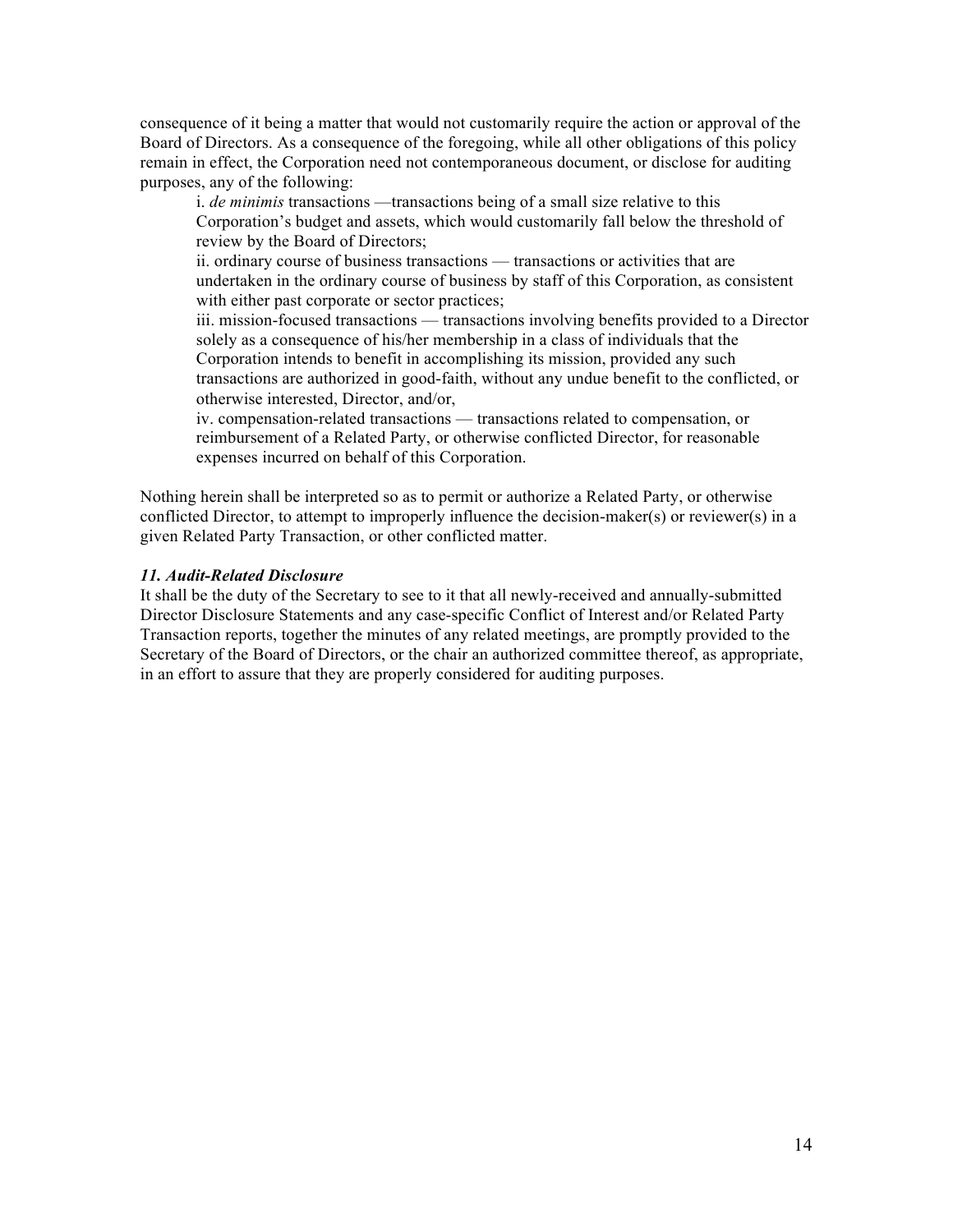consequence of it being a matter that would not customarily require the action or approval of the Board of Directors. As a consequence of the foregoing, while all other obligations of this policy remain in effect, the Corporation need not contemporaneous document, or disclose for auditing purposes, any of the following:

i. *de minimis* transactions —transactions being of a small size relative to this Corporation's budget and assets, which would customarily fall below the threshold of review by the Board of Directors;

ii. ordinary course of business transactions — transactions or activities that are undertaken in the ordinary course of business by staff of this Corporation, as consistent with either past corporate or sector practices;

iii. mission-focused transactions — transactions involving benefits provided to a Director solely as a consequence of his/her membership in a class of individuals that the Corporation intends to benefit in accomplishing its mission, provided any such transactions are authorized in good-faith, without any undue benefit to the conflicted, or otherwise interested, Director, and/or,

iv. compensation-related transactions — transactions related to compensation, or reimbursement of a Related Party, or otherwise conflicted Director, for reasonable expenses incurred on behalf of this Corporation.

Nothing herein shall be interpreted so as to permit or authorize a Related Party, or otherwise conflicted Director, to attempt to improperly influence the decision-maker(s) or reviewer(s) in a given Related Party Transaction, or other conflicted matter.

### *11. Audit-Related Disclosure*

It shall be the duty of the Secretary to see to it that all newly-received and annually-submitted Director Disclosure Statements and any case-specific Conflict of Interest and/or Related Party Transaction reports, together the minutes of any related meetings, are promptly provided to the Secretary of the Board of Directors, or the chair an authorized committee thereof, as appropriate, in an effort to assure that they are properly considered for auditing purposes.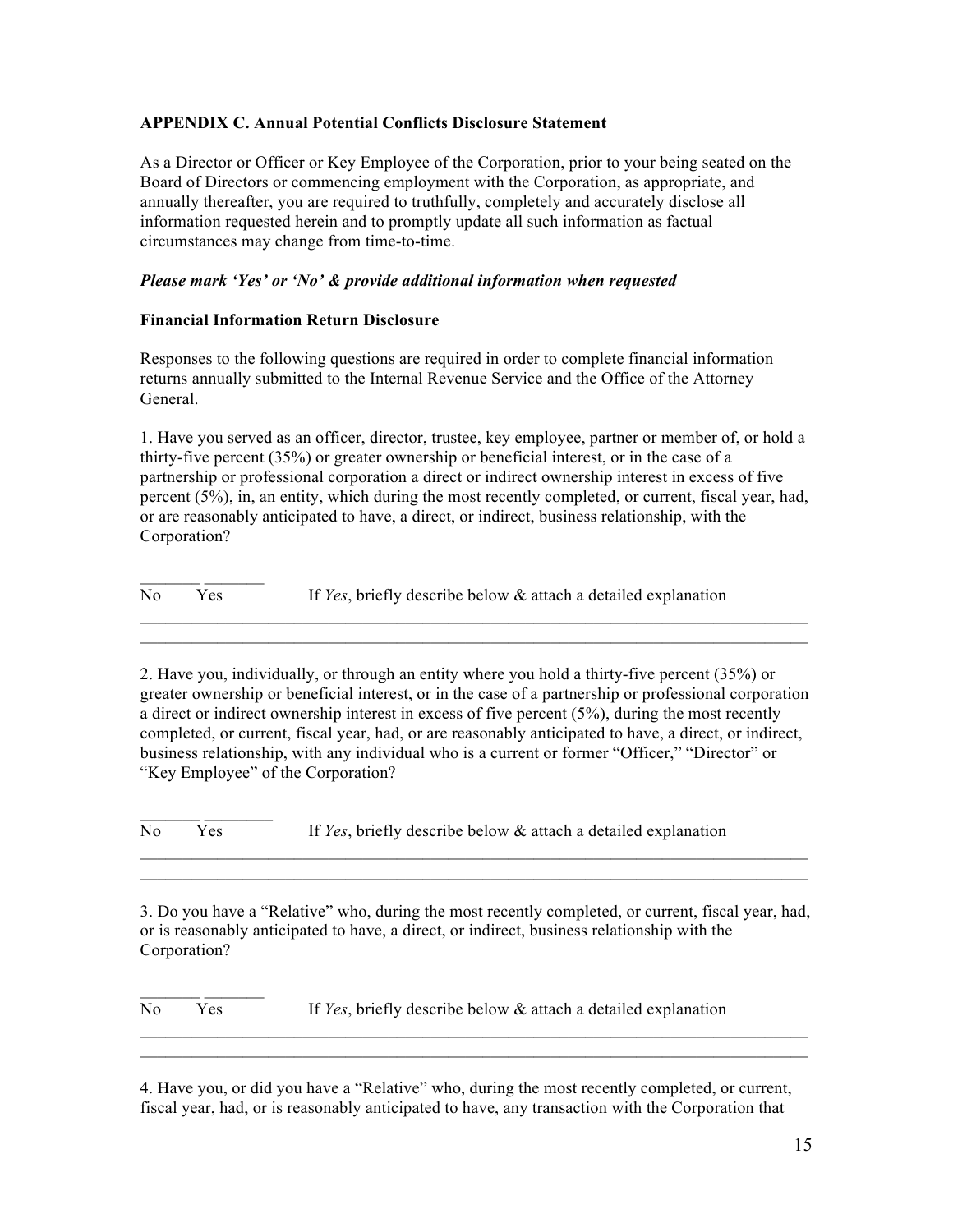## **APPENDIX C. Annual Potential Conflicts Disclosure Statement**

As a Director or Officer or Key Employee of the Corporation, prior to your being seated on the Board of Directors or commencing employment with the Corporation, as appropriate, and annually thereafter, you are required to truthfully, completely and accurately disclose all information requested herein and to promptly update all such information as factual circumstances may change from time-to-time.

## *Please mark 'Yes' or 'No' & provide additional information when requested*

### **Financial Information Return Disclosure**

 $\mathcal{L}=\mathcal{L}^{\mathcal{L}}$ 

Responses to the following questions are required in order to complete financial information returns annually submitted to the Internal Revenue Service and the Office of the Attorney General.

1. Have you served as an officer, director, trustee, key employee, partner or member of, or hold a thirty-five percent (35%) or greater ownership or beneficial interest, or in the case of a partnership or professional corporation a direct or indirect ownership interest in excess of five percent (5%), in, an entity, which during the most recently completed, or current, fiscal year, had, or are reasonably anticipated to have, a direct, or indirect, business relationship, with the Corporation?

 $\mathcal{L}=\mathcal{L}^{\mathcal{L}}$ No Yes If *Yes*, briefly describe below & attach a detailed explanation

2. Have you, individually, or through an entity where you hold a thirty-five percent (35%) or greater ownership or beneficial interest, or in the case of a partnership or professional corporation a direct or indirect ownership interest in excess of five percent (5%), during the most recently completed, or current, fiscal year, had, or are reasonably anticipated to have, a direct, or indirect, business relationship, with any individual who is a current or former "Officer," "Director" or "Key Employee" of the Corporation?

 $\mathcal{L}_\text{max} = \mathcal{L}_\text{max} = \mathcal{L}_\text{max} = \mathcal{L}_\text{max} = \mathcal{L}_\text{max} = \mathcal{L}_\text{max} = \mathcal{L}_\text{max} = \mathcal{L}_\text{max} = \mathcal{L}_\text{max} = \mathcal{L}_\text{max} = \mathcal{L}_\text{max} = \mathcal{L}_\text{max} = \mathcal{L}_\text{max} = \mathcal{L}_\text{max} = \mathcal{L}_\text{max} = \mathcal{L}_\text{max} = \mathcal{L}_\text{max} = \mathcal{L}_\text{max} = \mathcal{$ 

No Yes If *Yes*, briefly describe below & attach a detailed explanation

3. Do you have a "Relative" who, during the most recently completed, or current, fiscal year, had, or is reasonably anticipated to have, a direct, or indirect, business relationship with the Corporation?

 $\mathcal{L}_\text{max} = \mathcal{L}_\text{max} = \mathcal{L}_\text{max} = \mathcal{L}_\text{max} = \mathcal{L}_\text{max} = \mathcal{L}_\text{max} = \mathcal{L}_\text{max} = \mathcal{L}_\text{max} = \mathcal{L}_\text{max} = \mathcal{L}_\text{max} = \mathcal{L}_\text{max} = \mathcal{L}_\text{max} = \mathcal{L}_\text{max} = \mathcal{L}_\text{max} = \mathcal{L}_\text{max} = \mathcal{L}_\text{max} = \mathcal{L}_\text{max} = \mathcal{L}_\text{max} = \mathcal{$  $\mathcal{L}_\text{max} = \mathcal{L}_\text{max} = \mathcal{L}_\text{max} = \mathcal{L}_\text{max} = \mathcal{L}_\text{max} = \mathcal{L}_\text{max} = \mathcal{L}_\text{max} = \mathcal{L}_\text{max} = \mathcal{L}_\text{max} = \mathcal{L}_\text{max} = \mathcal{L}_\text{max} = \mathcal{L}_\text{max} = \mathcal{L}_\text{max} = \mathcal{L}_\text{max} = \mathcal{L}_\text{max} = \mathcal{L}_\text{max} = \mathcal{L}_\text{max} = \mathcal{L}_\text{max} = \mathcal{$ 

 $\mathcal{L}_\text{max}$  and  $\mathcal{L}_\text{max}$  and  $\mathcal{L}_\text{max}$  and  $\mathcal{L}_\text{max}$  and  $\mathcal{L}_\text{max}$  and  $\mathcal{L}_\text{max}$  $\mathcal{L}_\mathcal{L} = \{ \mathcal{L}_\mathcal{L} = \{ \mathcal{L}_\mathcal{L} = \{ \mathcal{L}_\mathcal{L} = \{ \mathcal{L}_\mathcal{L} = \{ \mathcal{L}_\mathcal{L} = \{ \mathcal{L}_\mathcal{L} = \{ \mathcal{L}_\mathcal{L} = \{ \mathcal{L}_\mathcal{L} = \{ \mathcal{L}_\mathcal{L} = \{ \mathcal{L}_\mathcal{L} = \{ \mathcal{L}_\mathcal{L} = \{ \mathcal{L}_\mathcal{L} = \{ \mathcal{L}_\mathcal{L} = \{ \mathcal{L}_\mathcal{$ 

No Yes If *Yes*, briefly describe below & attach a detailed explanation

4. Have you, or did you have a "Relative" who, during the most recently completed, or current, fiscal year, had, or is reasonably anticipated to have, any transaction with the Corporation that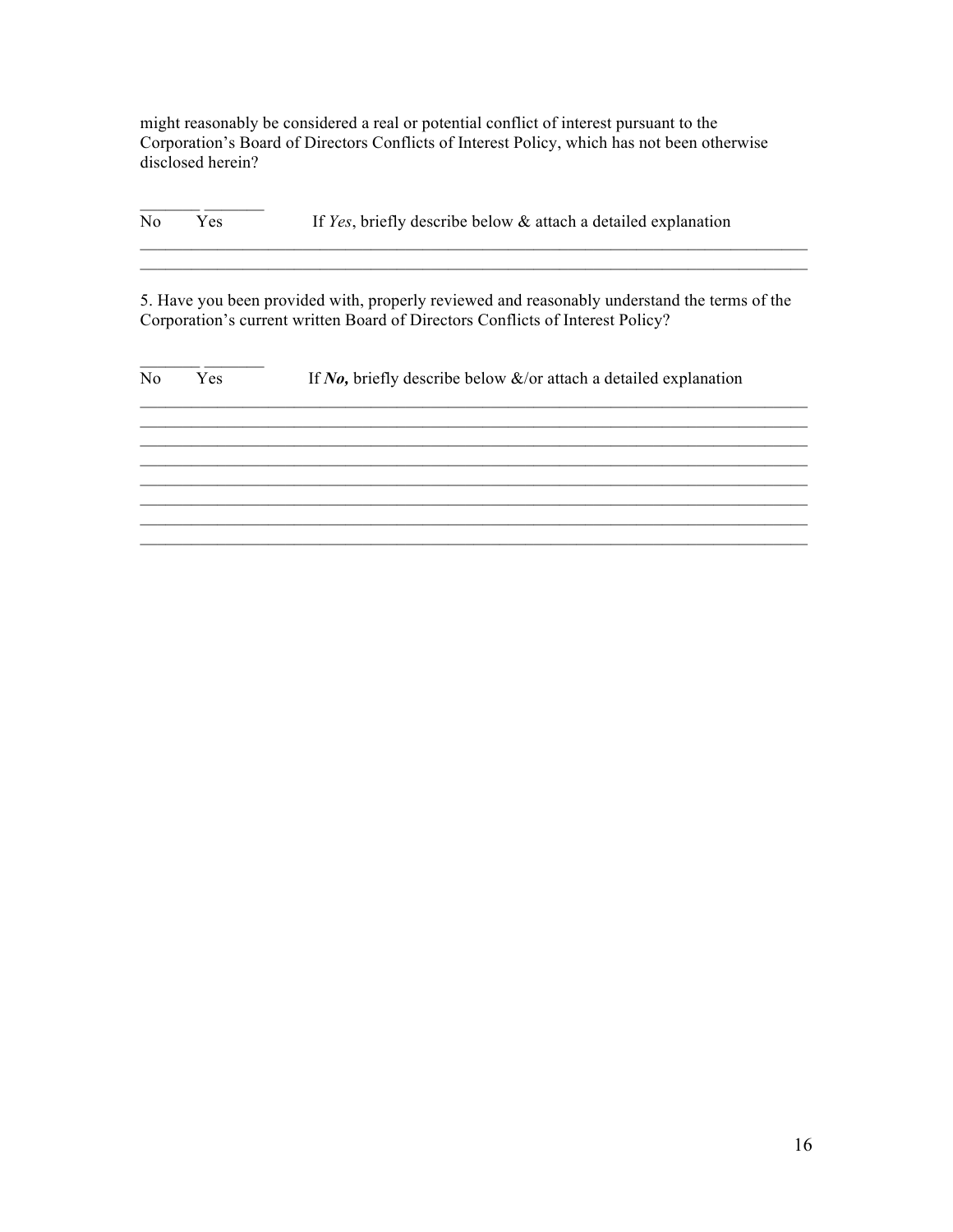might reasonably be considered a real or potential conflict of interest pursuant to the Corporation's Board of Directors Conflicts of Interest Policy, which has not been otherwise disclosed herein?

No Yes If *Yes*, briefly describe below & attach a detailed explanation

 $\frac{1}{\sqrt{2}}$  ,  $\frac{1}{\sqrt{2}}$  ,  $\frac{1}{\sqrt{2}}$  ,  $\frac{1}{\sqrt{2}}$  ,  $\frac{1}{\sqrt{2}}$  ,  $\frac{1}{\sqrt{2}}$  ,  $\frac{1}{\sqrt{2}}$  ,  $\frac{1}{\sqrt{2}}$  ,  $\frac{1}{\sqrt{2}}$  ,  $\frac{1}{\sqrt{2}}$  ,  $\frac{1}{\sqrt{2}}$  ,  $\frac{1}{\sqrt{2}}$  ,  $\frac{1}{\sqrt{2}}$  ,  $\frac{1}{\sqrt{2}}$  ,  $\frac{1}{\sqrt{2}}$ 

5. Have you been provided with, properly reviewed and reasonably understand the terms of the Corporation's current written Board of Directors Conflicts of Interest Policy?

 $\mathcal{L}_\text{max} = \mathcal{L}_\text{max} = \mathcal{L}_\text{max} = \mathcal{L}_\text{max} = \mathcal{L}_\text{max} = \mathcal{L}_\text{max} = \mathcal{L}_\text{max} = \mathcal{L}_\text{max} = \mathcal{L}_\text{max} = \mathcal{L}_\text{max} = \mathcal{L}_\text{max} = \mathcal{L}_\text{max} = \mathcal{L}_\text{max} = \mathcal{L}_\text{max} = \mathcal{L}_\text{max} = \mathcal{L}_\text{max} = \mathcal{L}_\text{max} = \mathcal{L}_\text{max} = \mathcal{$  $\mathcal{L}_\text{max} = \mathcal{L}_\text{max} = \mathcal{L}_\text{max} = \mathcal{L}_\text{max} = \mathcal{L}_\text{max} = \mathcal{L}_\text{max} = \mathcal{L}_\text{max} = \mathcal{L}_\text{max} = \mathcal{L}_\text{max} = \mathcal{L}_\text{max} = \mathcal{L}_\text{max} = \mathcal{L}_\text{max} = \mathcal{L}_\text{max} = \mathcal{L}_\text{max} = \mathcal{L}_\text{max} = \mathcal{L}_\text{max} = \mathcal{L}_\text{max} = \mathcal{L}_\text{max} = \mathcal{$ 

| No | Yes | If No, briefly describe below $\&$ /or attach a detailed explanation |
|----|-----|----------------------------------------------------------------------|
|    |     |                                                                      |
|    |     |                                                                      |
|    |     |                                                                      |
|    |     |                                                                      |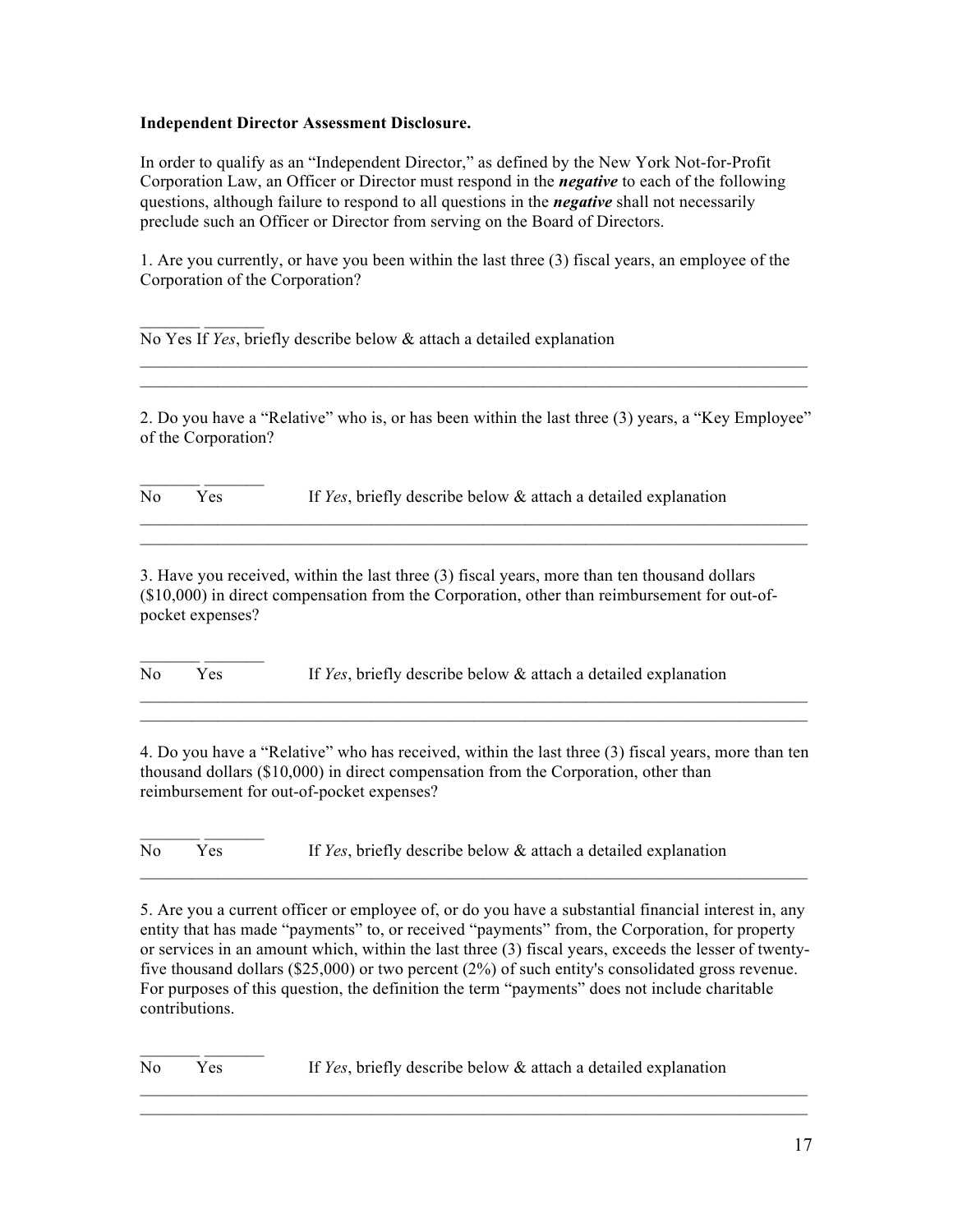### **Independent Director Assessment Disclosure.**

In order to qualify as an "Independent Director," as defined by the New York Not-for-Profit Corporation Law, an Officer or Director must respond in the *negative* to each of the following questions, although failure to respond to all questions in the *negative* shall not necessarily preclude such an Officer or Director from serving on the Board of Directors.

1. Are you currently, or have you been within the last three (3) fiscal years, an employee of the Corporation of the Corporation?

No Yes If *Yes*, briefly describe below & attach a detailed explanation

2. Do you have a "Relative" who is, or has been within the last three (3) years, a "Key Employee" of the Corporation?

 $\mathcal{L}_\mathcal{L} = \mathcal{L}_\mathcal{L} = \mathcal{L}_\mathcal{L} = \mathcal{L}_\mathcal{L} = \mathcal{L}_\mathcal{L} = \mathcal{L}_\mathcal{L} = \mathcal{L}_\mathcal{L} = \mathcal{L}_\mathcal{L} = \mathcal{L}_\mathcal{L} = \mathcal{L}_\mathcal{L} = \mathcal{L}_\mathcal{L} = \mathcal{L}_\mathcal{L} = \mathcal{L}_\mathcal{L} = \mathcal{L}_\mathcal{L} = \mathcal{L}_\mathcal{L} = \mathcal{L}_\mathcal{L} = \mathcal{L}_\mathcal{L}$  $\mathcal{L}_\mathcal{L} = \mathcal{L}_\mathcal{L} = \mathcal{L}_\mathcal{L} = \mathcal{L}_\mathcal{L} = \mathcal{L}_\mathcal{L} = \mathcal{L}_\mathcal{L} = \mathcal{L}_\mathcal{L} = \mathcal{L}_\mathcal{L} = \mathcal{L}_\mathcal{L} = \mathcal{L}_\mathcal{L} = \mathcal{L}_\mathcal{L} = \mathcal{L}_\mathcal{L} = \mathcal{L}_\mathcal{L} = \mathcal{L}_\mathcal{L} = \mathcal{L}_\mathcal{L} = \mathcal{L}_\mathcal{L} = \mathcal{L}_\mathcal{L}$ 

 $\mathcal{L}_\text{max} = \mathcal{L}_\text{max} = \mathcal{L}_\text{max} = \mathcal{L}_\text{max} = \mathcal{L}_\text{max} = \mathcal{L}_\text{max} = \mathcal{L}_\text{max} = \mathcal{L}_\text{max} = \mathcal{L}_\text{max} = \mathcal{L}_\text{max} = \mathcal{L}_\text{max} = \mathcal{L}_\text{max} = \mathcal{L}_\text{max} = \mathcal{L}_\text{max} = \mathcal{L}_\text{max} = \mathcal{L}_\text{max} = \mathcal{L}_\text{max} = \mathcal{L}_\text{max} = \mathcal{$  $\mathcal{L}_\mathcal{L} = \mathcal{L}_\mathcal{L} = \mathcal{L}_\mathcal{L} = \mathcal{L}_\mathcal{L} = \mathcal{L}_\mathcal{L} = \mathcal{L}_\mathcal{L} = \mathcal{L}_\mathcal{L} = \mathcal{L}_\mathcal{L} = \mathcal{L}_\mathcal{L} = \mathcal{L}_\mathcal{L} = \mathcal{L}_\mathcal{L} = \mathcal{L}_\mathcal{L} = \mathcal{L}_\mathcal{L} = \mathcal{L}_\mathcal{L} = \mathcal{L}_\mathcal{L} = \mathcal{L}_\mathcal{L} = \mathcal{L}_\mathcal{L}$ 

No Yes If *Yes*, briefly describe below & attach a detailed explanation

3. Have you received, within the last three (3) fiscal years, more than ten thousand dollars (\$10,000) in direct compensation from the Corporation, other than reimbursement for out-ofpocket expenses?

 $\mathcal{L}=\mathcal{L}^{\mathcal{L}}$ No Yes If *Yes*, briefly describe below & attach a detailed explanation

4. Do you have a "Relative" who has received, within the last three (3) fiscal years, more than ten thousand dollars (\$10,000) in direct compensation from the Corporation, other than reimbursement for out-of-pocket expenses?

 $\mathcal{L}_\mathcal{L} = \mathcal{L}_\mathcal{L} = \mathcal{L}_\mathcal{L} = \mathcal{L}_\mathcal{L} = \mathcal{L}_\mathcal{L} = \mathcal{L}_\mathcal{L} = \mathcal{L}_\mathcal{L} = \mathcal{L}_\mathcal{L} = \mathcal{L}_\mathcal{L} = \mathcal{L}_\mathcal{L} = \mathcal{L}_\mathcal{L} = \mathcal{L}_\mathcal{L} = \mathcal{L}_\mathcal{L} = \mathcal{L}_\mathcal{L} = \mathcal{L}_\mathcal{L} = \mathcal{L}_\mathcal{L} = \mathcal{L}_\mathcal{L}$  $\mathcal{L}_\mathcal{L} = \mathcal{L}_\mathcal{L} = \mathcal{L}_\mathcal{L} = \mathcal{L}_\mathcal{L} = \mathcal{L}_\mathcal{L} = \mathcal{L}_\mathcal{L} = \mathcal{L}_\mathcal{L} = \mathcal{L}_\mathcal{L} = \mathcal{L}_\mathcal{L} = \mathcal{L}_\mathcal{L} = \mathcal{L}_\mathcal{L} = \mathcal{L}_\mathcal{L} = \mathcal{L}_\mathcal{L} = \mathcal{L}_\mathcal{L} = \mathcal{L}_\mathcal{L} = \mathcal{L}_\mathcal{L} = \mathcal{L}_\mathcal{L}$ 

 $\mathcal{L}=\mathcal{L}^{\mathcal{L}}$ No Yes If *Yes*, briefly describe below & attach a detailed explanation

5. Are you a current officer or employee of, or do you have a substantial financial interest in, any entity that has made "payments" to, or received "payments" from, the Corporation, for property or services in an amount which, within the last three (3) fiscal years, exceeds the lesser of twentyfive thousand dollars (\$25,000) or two percent (2%) of such entity's consolidated gross revenue. For purposes of this question, the definition the term "payments" does not include charitable contributions.

 $\mathcal{L}_\mathcal{L} = \mathcal{L}_\mathcal{L} = \mathcal{L}_\mathcal{L} = \mathcal{L}_\mathcal{L} = \mathcal{L}_\mathcal{L} = \mathcal{L}_\mathcal{L} = \mathcal{L}_\mathcal{L} = \mathcal{L}_\mathcal{L} = \mathcal{L}_\mathcal{L} = \mathcal{L}_\mathcal{L} = \mathcal{L}_\mathcal{L} = \mathcal{L}_\mathcal{L} = \mathcal{L}_\mathcal{L} = \mathcal{L}_\mathcal{L} = \mathcal{L}_\mathcal{L} = \mathcal{L}_\mathcal{L} = \mathcal{L}_\mathcal{L}$  $\mathcal{L}_\mathcal{L} = \mathcal{L}_\mathcal{L} = \mathcal{L}_\mathcal{L} = \mathcal{L}_\mathcal{L} = \mathcal{L}_\mathcal{L} = \mathcal{L}_\mathcal{L} = \mathcal{L}_\mathcal{L} = \mathcal{L}_\mathcal{L} = \mathcal{L}_\mathcal{L} = \mathcal{L}_\mathcal{L} = \mathcal{L}_\mathcal{L} = \mathcal{L}_\mathcal{L} = \mathcal{L}_\mathcal{L} = \mathcal{L}_\mathcal{L} = \mathcal{L}_\mathcal{L} = \mathcal{L}_\mathcal{L} = \mathcal{L}_\mathcal{L}$ 

 $\mathcal{L}_\text{max} = \mathcal{L}_\text{max} = \mathcal{L}_\text{max} = \mathcal{L}_\text{max} = \mathcal{L}_\text{max} = \mathcal{L}_\text{max} = \mathcal{L}_\text{max} = \mathcal{L}_\text{max} = \mathcal{L}_\text{max} = \mathcal{L}_\text{max} = \mathcal{L}_\text{max} = \mathcal{L}_\text{max} = \mathcal{L}_\text{max} = \mathcal{L}_\text{max} = \mathcal{L}_\text{max} = \mathcal{L}_\text{max} = \mathcal{L}_\text{max} = \mathcal{L}_\text{max} = \mathcal{$ 

No Yes If *Yes*, briefly describe below & attach a detailed explanation